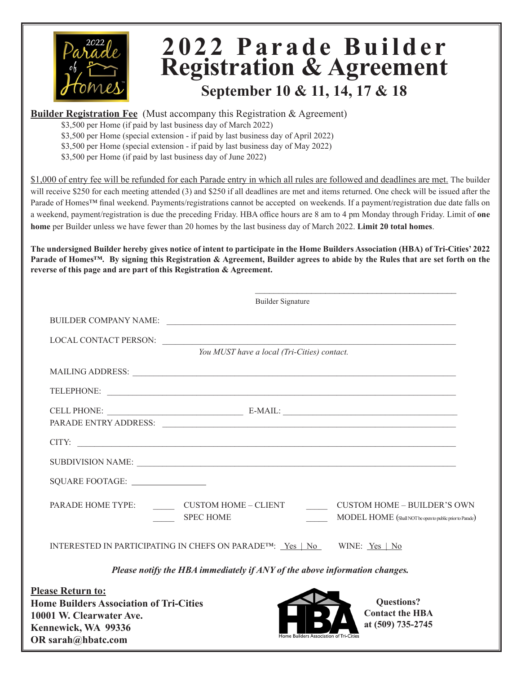

### **2 0 2 2 P a r a d e B u i l d e r Registration & Agreement September 10 & 11, 14, 17 & 18**

**Builder Registration Fee** (Must accompany this Registration & Agreement)

\$3,500 per Home (if paid by last business day of March 2022)

\$3,500 per Home (special extension - if paid by last business day of April 2022)

\$3,500 per Home (special extension - if paid by last business day of May 2022)

\$3,500 per Home (if paid by last business day of June 2022)

\$1,000 of entry fee will be refunded for each Parade entry in which all rules are followed and deadlines are met. The builder will receive \$250 for each meeting attended (3) and \$250 if all deadlines are met and items returned. One check will be issued after the Parade of Homes™ final weekend. Payments/registrations cannot be accepted on weekends. If a payment/registration due date falls on a weekend, payment/registration is due the preceding Friday. HBA office hours are 8 am to 4 pm Monday through Friday. Limit of **one home** per Builder unless we have fewer than 20 homes by the last business day of March 2022. **Limit 20 total homes**.

**The undersigned Builder hereby gives notice of intent to participate in the Home Builders Association (HBA) of Tri-Cities' 2022 Parade of Homes™. By signing this Registration & Agreement, Builder agrees to abide by the Rules that are set forth on the reverse of this page and are part of this Registration & Agreement.**

| <b>Builder Signature</b>                                                                                                                                                                       |                                                                                                |
|------------------------------------------------------------------------------------------------------------------------------------------------------------------------------------------------|------------------------------------------------------------------------------------------------|
| BUILDER COMPANY NAME:                                                                                                                                                                          |                                                                                                |
| LOCAL CONTACT PERSON:                                                                                                                                                                          |                                                                                                |
| You MUST have a local (Tri-Cities) contact.                                                                                                                                                    |                                                                                                |
|                                                                                                                                                                                                |                                                                                                |
|                                                                                                                                                                                                |                                                                                                |
| PARADE ENTRY ADDRESS:                                                                                                                                                                          |                                                                                                |
|                                                                                                                                                                                                |                                                                                                |
|                                                                                                                                                                                                |                                                                                                |
| SQUARE FOOTAGE:                                                                                                                                                                                |                                                                                                |
| PARADE HOME TYPE: CUSTOM HOME – CLIENT<br><b>SPEC HOME</b>                                                                                                                                     | <b>CUSTOM HOME - BUILDER'S OWN</b><br>MODEL HOME (Shall NOT be open to public prior to Parade) |
| INTERESTED IN PARTICIPATING IN CHEFS ON PARADE <sup>TM</sup> : <u>Yes   No</u> WINE: Yes   No                                                                                                  |                                                                                                |
| Please notify the HBA immediately if ANY of the above information changes.                                                                                                                     |                                                                                                |
| <b>Please Return to:</b><br><b>Home Builders Association of Tri-Cities</b><br>10001 W. Clearwater Ave.<br>Kennewick, WA 99336<br>Home Builders Association of Tri-Cities<br>OR sarah@hbatc.com | <b>Questions?</b><br><b>Contact the HBA</b><br>at (509) 735-2745                               |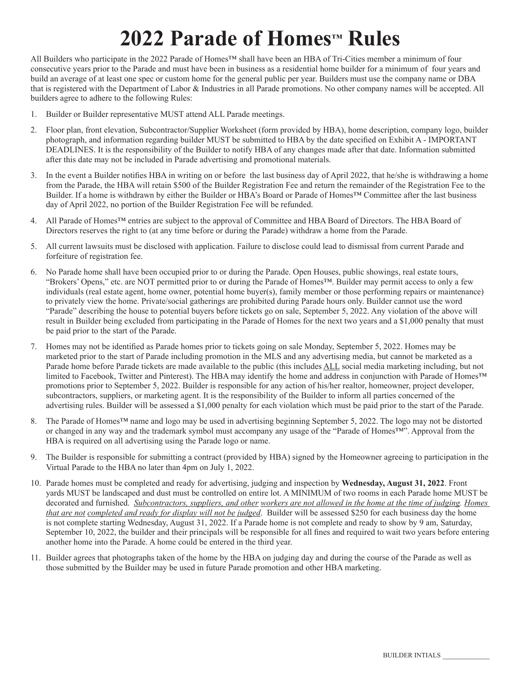# **2022 Parade of Homes™ Rules**

All Builders who participate in the 2022 Parade of Homes™ shall have been an HBA of Tri-Cities member a minimum of four consecutive years prior to the Parade and must have been in business as a residential home builder for a minimum of four years and build an average of at least one spec or custom home for the general public per year. Builders must use the company name or DBA that is registered with the Department of Labor & Industries in all Parade promotions. No other company names will be accepted. All builders agree to adhere to the following Rules:

- 1. Builder or Builder representative MUST attend ALL Parade meetings.
- 2. Floor plan, front elevation, Subcontractor/Supplier Worksheet (form provided by HBA), home description, company logo, builder photograph, and information regarding builder MUST be submitted to HBA by the date specified on Exhibit A - IMPORTANT DEADLINES. It is the responsibility of the Builder to notify HBA of any changes made after that date. Information submitted after this date may not be included in Parade advertising and promotional materials.
- 3. In the event a Builder notifies HBA in writing on or before the last business day of April 2022, that he/she is withdrawing a home from the Parade, the HBA will retain \$500 of the Builder Registration Fee and return the remainder of the Registration Fee to the Builder. If a home is withdrawn by either the Builder or HBA's Board or Parade of Homes™ Committee after the last business day of April 2022, no portion of the Builder Registration Fee will be refunded.
- 4. All Parade of Homes™ entries are subject to the approval of Committee and HBA Board of Directors. The HBA Board of Directors reserves the right to (at any time before or during the Parade) withdraw a home from the Parade.
- 5. All current lawsuits must be disclosed with application. Failure to disclose could lead to dismissal from current Parade and forfeiture of registration fee.
- 6. No Parade home shall have been occupied prior to or during the Parade. Open Houses, public showings, real estate tours, "Brokers' Opens," etc. are NOT permitted prior to or during the Parade of Homes™. Builder may permit access to only a few individuals (real estate agent, home owner, potential home buyer(s), family member or those performing repairs or maintenance) to privately view the home. Private/social gatherings are prohibited during Parade hours only. Builder cannot use the word "Parade" describing the house to potential buyers before tickets go on sale, September 5, 2022. Any violation of the above will result in Builder being excluded from participating in the Parade of Homes for the next two years and a \$1,000 penalty that must be paid prior to the start of the Parade.
- 7. Homes may not be identified as Parade homes prior to tickets going on sale Monday, September 5, 2022. Homes may be marketed prior to the start of Parade including promotion in the MLS and any advertising media, but cannot be marketed as a Parade home before Parade tickets are made available to the public (this includes ALL social media marketing including, but not limited to Facebook, Twitter and Pinterest). The HBA may identify the home and address in conjunction with Parade of Homes™ promotions prior to September 5, 2022. Builder is responsible for any action of his/her realtor, homeowner, project developer, subcontractors, suppliers, or marketing agent. It is the responsibility of the Builder to inform all parties concerned of the advertising rules. Builder will be assessed a \$1,000 penalty for each violation which must be paid prior to the start of the Parade.
- 8. The Parade of Homes™ name and logo may be used in advertising beginning September 5, 2022. The logo may not be distorted or changed in any way and the trademark symbol must accompany any usage of the "Parade of Homes™". Approval from the HBA is required on all advertising using the Parade logo or name.
- 9. The Builder is responsible for submitting a contract (provided by HBA) signed by the Homeowner agreeing to participation in the Virtual Parade to the HBA no later than 4pm on July 1, 2022.
- 10. Parade homes must be completed and ready for advertising, judging and inspection by **Wednesday, August 31, 2022**. Front yards MUST be landscaped and dust must be controlled on entire lot. A MINIMUM of two rooms in each Parade home MUST be decorated and furnished. *Subcontractors, suppliers, and other workers are not allowed in the home at the time of judging. Homes that are not completed and ready for display will not be judged*. Builder will be assessed \$250 for each business day the home is not complete starting Wednesday, August 31, 2022. If a Parade home is not complete and ready to show by 9 am, Saturday, September 10, 2022, the builder and their principals will be responsible for all fines and required to wait two years before entering another home into the Parade. A home could be entered in the third year.
- 11. Builder agrees that photographs taken of the home by the HBA on judging day and during the course of the Parade as well as those submitted by the Builder may be used in future Parade promotion and other HBA marketing.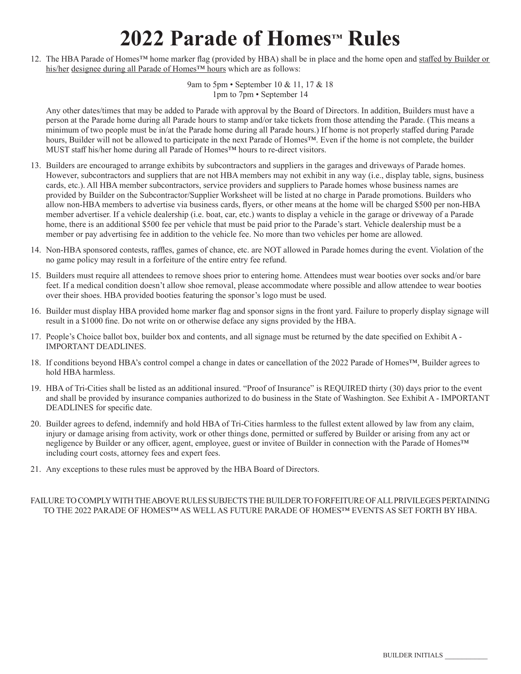## **2022 Parade of Homes™ Rules**

12. The HBA Parade of Homes™ home marker flag (provided by HBA) shall be in place and the home open and staffed by Builder or his/her designee during all Parade of Homes™ hours which are as follows:

> 9am to 5pm • September 10 & 11, 17 & 18 1pm to 7pm • September 14

Any other dates/times that may be added to Parade with approval by the Board of Directors. In addition, Builders must have a person at the Parade home during all Parade hours to stamp and/or take tickets from those attending the Parade. (This means a minimum of two people must be in/at the Parade home during all Parade hours.) If home is not properly staffed during Parade hours, Builder will not be allowed to participate in the next Parade of Homes™. Even if the home is not complete, the builder MUST staff his/her home during all Parade of Homes™ hours to re-direct visitors.

- 13. Builders are encouraged to arrange exhibits by subcontractors and suppliers in the garages and driveways of Parade homes. However, subcontractors and suppliers that are not HBA members may not exhibit in any way (i.e., display table, signs, business cards, etc.). All HBA member subcontractors, service providers and suppliers to Parade homes whose business names are provided by Builder on the Subcontractor/Supplier Worksheet will be listed at no charge in Parade promotions. Builders who allow non-HBA members to advertise via business cards, flyers, or other means at the home will be charged \$500 per non-HBA member advertiser. If a vehicle dealership (i.e. boat, car, etc.) wants to display a vehicle in the garage or driveway of a Parade home, there is an additional \$500 fee per vehicle that must be paid prior to the Parade's start. Vehicle dealership must be a member or pay advertising fee in addition to the vehicle fee. No more than two vehicles per home are allowed.
- 14. Non-HBA sponsored contests, raffles, games of chance, etc. are NOT allowed in Parade homes during the event. Violation of the no game policy may result in a forfeiture of the entire entry fee refund.
- 15. Builders must require all attendees to remove shoes prior to entering home. Attendees must wear booties over socks and/or bare feet. If a medical condition doesn't allow shoe removal, please accommodate where possible and allow attendee to wear booties over their shoes. HBA provided booties featuring the sponsor's logo must be used.
- 16. Builder must display HBA provided home marker flag and sponsor signs in the front yard. Failure to properly display signage will result in a \$1000 fine. Do not write on or otherwise deface any signs provided by the HBA.
- 17. People's Choice ballot box, builder box and contents, and all signage must be returned by the date specified on Exhibit A IMPORTANT DEADLINES.
- 18. If conditions beyond HBA's control compel a change in dates or cancellation of the 2022 Parade of Homes™, Builder agrees to hold HBA harmless.
- 19. HBA of Tri-Cities shall be listed as an additional insured. "Proof of Insurance" is REQUIRED thirty (30) days prior to the event and shall be provided by insurance companies authorized to do business in the State of Washington. See Exhibit A - IMPORTANT DEADLINES for specific date.
- 20. Builder agrees to defend, indemnify and hold HBA of Tri-Cities harmless to the fullest extent allowed by law from any claim, injury or damage arising from activity, work or other things done, permitted or suffered by Builder or arising from any act or negligence by Builder or any officer, agent, employee, guest or invitee of Builder in connection with the Parade of Homes™ including court costs, attorney fees and expert fees.
- 21. Any exceptions to these rules must be approved by the HBA Board of Directors.

#### FAILURE TO COMPLY WITH THE ABOVE RULES SUBJECTS THE BUILDER TO FORFEITURE OF ALL PRIVILEGES PERTAINING TO THE 2022 PARADE OF HOMES™ AS WELL AS FUTURE PARADE OF HOMES™ EVENTS AS SET FORTH BY HBA.